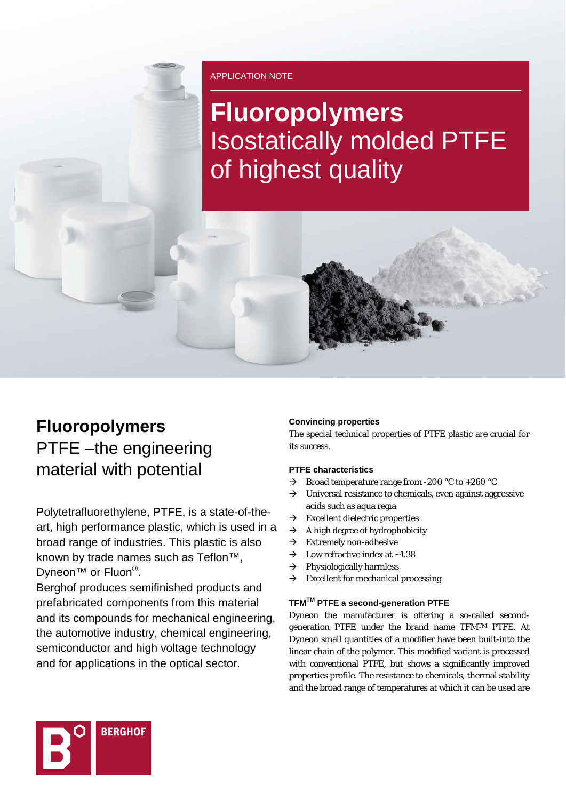APPLICATION NOTE

# **Fluoropolymers** Isostatically molded PTFE of highest quality

# **Fluoropolymers** PTFE –the engineering material with potential

Polytetrafluorethylene, PTFE, is a state-of-theart, high performance plastic, which is used in a broad range of industries. This plastic is also known by trade names such as Teflon™, Dyneon<sup>™</sup> or Fluon<sup>®</sup>.

Berghof produces semifinished products and prefabricated components from this material and its compounds for mechanical engineering, the automotive industry, chemical engineering, semiconductor and high voltage technology and for applications in the optical sector.

# **Convincing properties**

The special technical properties of PTFE plastic are crucial for its success.

# **PTFE characteristics**

- $\rightarrow$  Broad temperature range from -200 °C to +260 °C
- $\rightarrow$  Universal resistance to chemicals, even against aggressive acids such as aqua regia
- $\rightarrow$  Excellent dielectric properties
- $\rightarrow$  A high degree of hydrophobicity
- $\rightarrow$  Extremely non-adhesive
- $\rightarrow$  Low refractive index at ~1.38
- $\rightarrow$  Physiologically harmless
- $\rightarrow$  Excellent for mechanical processing

# **TFMTM PTFE a second-generation PTFE**

Dyneon the manufacturer is offering a so-called secondgeneration PTFE under the brand name TFMTM PTFE. At Dyneon small quantities of a modifier have been built-into the linear chain of the polymer. This modified variant is processed with conventional PTFE, but shows a significantly improved properties profile. The resistance to chemicals, thermal stability and the broad range of temperatures at which it can be used are

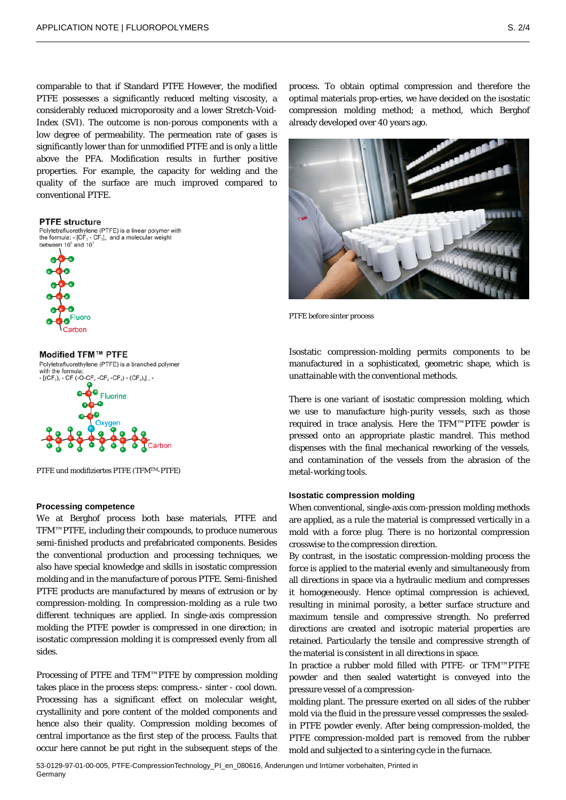comparable to that if Standard PTFE However, the modified PTFE possesses a significantly reduced melting viscosity, a considerably reduced microporosity and a lower Stretch-Void-Index (SVI). The outcome is non-porous components with a low degree of permeability. The permeation rate of gases is significantly lower than for unmodified PTFE and is only a little above the PFA. Modification results in further positive properties. For example, the capacity for welding and the quality of the surface are much improved compared to conventional PTFE.

#### **PTFE structure**

Polytetrafluorethylene (PTFE) is a linear polymer with the formula:  $- [CF<sub>2</sub> - CF<sub>3</sub>]<sub>n</sub>$  and a molecular weight between 10<sup>5</sup> and 10<sup>7</sup>



**Modified TFM™ PTFE** Polytetrafluorethylene (PTFE) is a branched polymer with the formula -  $[(CF<sub>2</sub>)<sub>4</sub> - CF (-O-CF<sub>2</sub>-CF<sub>2</sub>-CF<sub>3</sub>) - (CF<sub>2</sub>)<sub>5</sub>]$ <sub>0</sub> -



PTFE und modifiziertes PTFE (TFMTM-PTFE)

### **Processing competence**

We at Berghof process both base materials, PTFE and TFM™PTFE, including their compounds, to produce numerous semi-finished products and prefabricated components. Besides the conventional production and processing techniques, we also have special knowledge and skills in isostatic compression molding and in the manufacture of porous PTFE. Semi-finished PTFE products are manufactured by means of extrusion or by compression-molding. In compression-molding as a rule two different techniques are applied. In single-axis compression molding the PTFE powder is compressed in one direction; in isostatic compression molding it is compressed evenly from all sides.

Processing of PTFE and TFM™PTFE by compression molding takes place in the process steps: compress.- sinter - cool down. Processing has a significant effect on molecular weight, crystallinity and pore content of the molded components and hence also their quality. Compression molding becomes of central importance as the first step of the process. Faults that occur here cannot be put right in the subsequent steps of the

process. To obtain optimal compression and therefore the optimal materials prop-erties, we have decided on the isostatic compression molding method; a method, which Berghof already developed over 40 years ago.



PTFE before sinter process

Isostatic compression-molding permits components to be manufactured in a sophisticated, geometric shape, which is unattainable with the conventional methods.

There is one variant of isostatic compression molding, which we use to manufacture high-purity vessels, such as those required in trace analysis. Here the TFM™PTFE powder is pressed onto an appropriate plastic mandrel. This method dispenses with the final mechanical reworking of the vessels, and contamination of the vessels from the abrasion of the metal-working tools.

#### **Isostatic compression molding**

When conventional, single-axis com-pression molding methods are applied, as a rule the material is compressed vertically in a mold with a force plug. There is no horizontal compression crosswise to the compression direction.

By contrast, in the isostatic compression-molding process the force is applied to the material evenly and simultaneously from all directions in space via a hydraulic medium and compresses it homogeneously. Hence optimal compression is achieved, resulting in minimal porosity, a better surface structure and maximum tensile and compressive strength. No preferred directions are created and isotropic material properties are retained. Particularly the tensile and compressive strength of the material is consistent in all directions in space.

In practice a rubber mold filled with PTFE- or TFM™PTFE powder and then sealed watertight is conveyed into the pressure vessel of a compression-

molding plant. The pressure exerted on all sides of the rubber mold via the fluid in the pressure vessel compresses the sealedin PTFE powder evenly. After being compression-molded, the PTFE compression-molded part is removed from the rubber mold and subjected to a sintering cycle in the furnace.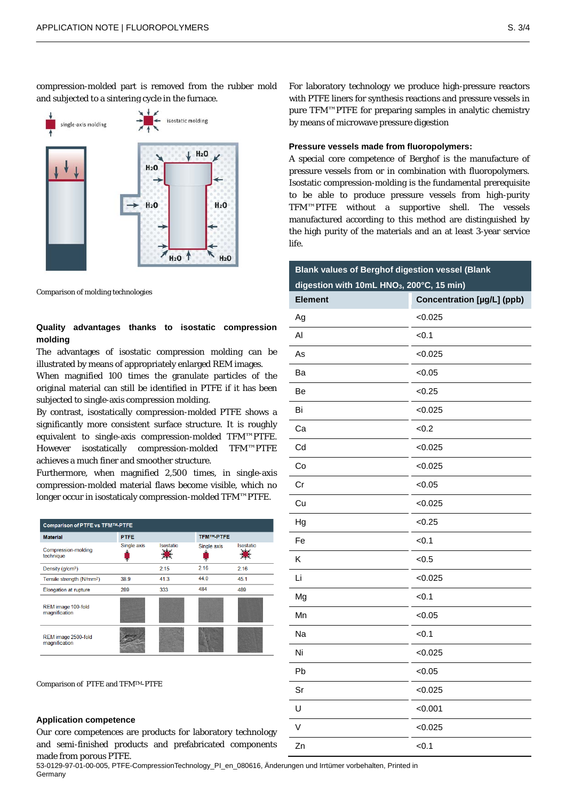compression-molded part is removed from the rubber mold and subjected to a sintering cycle in the furnace.



Comparison of molding technologies

# **Quality advantages thanks to isostatic compression molding**

The advantages of isostatic compression molding can be illustrated by means of appropriately enlarged REM images.

When magnified 100 times the granulate particles of the original material can still be identified in PTFE if it has been subjected to single-axis compression molding.

By contrast, isostatically compression-molded PTFE shows a significantly more consistent surface structure. It is roughly equivalent to single-axis compression-molded TFM™PTFE. However isostatically compression-molded TFM™PTFE achieves a much finer and smoother structure.

Furthermore, when magnified 2,500 times, in single-axis compression-molded material flaws become visible, which no longer occur in isostaticaly compression-molded TFM™PTFE.

| Comparison of PTFE vs TFM™-PTFE       |             |                          |                  |                      |
|---------------------------------------|-------------|--------------------------|------------------|----------------------|
| <b>Material</b>                       | <b>PTFE</b> |                          | <b>TFM™-PTFE</b> |                      |
| Compression-molding<br>technique      | Single axis | Isostatic<br>∖աժա<br>オネナ | Single axis      | Isostatic<br>مربايين |
| Density (g/cm <sup>3</sup> )          |             | 2.15                     | 2.16             | 2.16                 |
| Tensile strength (N/mm <sup>2</sup> ) | 38.9        | 41.3                     | 44.0             | 45.1                 |
| Elongation at rupture                 | 289         | 333                      | 484              | 489                  |
| REM image 100-fold<br>magnification   |             |                          |                  |                      |
| REM image 2500-fold<br>magnification  |             |                          |                  |                      |

Comparison of PTFE and TFMTM-PTFE

#### **Application competence**

Our core competences are products for laboratory technology and semi-finished products and prefabricated components made from porous PTFE.

For laboratory technology we produce high-pressure reactors with PTFE liners for synthesis reactions and pressure vessels in pure TFM™PTFE for preparing samples in analytic chemistry by means of microwave pressure digestion

#### **Pressure vessels made from fluoropolymers:**

A special core competence of Berghof is the manufacture of pressure vessels from or in combination with fluoropolymers. Isostatic compression-molding is the fundamental prerequisite to be able to produce pressure vessels from high-purity TFM™PTFE without a supportive shell. The vessels manufactured according to this method are distinguished by the high purity of the materials and an at least 3-year service life.

| <b>Blank values of Berghof digestion vessel (Blank</b> |                            |  |  |
|--------------------------------------------------------|----------------------------|--|--|
| digestion with 10mL HNO <sub>3</sub> , 200°C, 15 min)  |                            |  |  |
| <b>Element</b>                                         | Concentration [µg/L] (ppb) |  |  |
| Ag                                                     | < 0.025                    |  |  |
| Al                                                     | < 0.1                      |  |  |
| As                                                     | < 0.025                    |  |  |
| Ba                                                     | < 0.05                     |  |  |
| Be                                                     | < 0.25                     |  |  |
| Bi                                                     | < 0.025                    |  |  |
| Сa                                                     | <0.2                       |  |  |
| Cd                                                     | < 0.025                    |  |  |
| Co                                                     | < 0.025                    |  |  |
| Cr                                                     | < 0.05                     |  |  |
| Cu                                                     | < 0.025                    |  |  |
| Hg                                                     | <0.25                      |  |  |
| Fe                                                     | < 0.1                      |  |  |
| K                                                      | < 0.5                      |  |  |
| Li                                                     | < 0.025                    |  |  |
| Mg                                                     | < 0.1                      |  |  |
| Mn                                                     | <0.05                      |  |  |
| Na                                                     | < 0.1                      |  |  |
| Ni                                                     | < 0.025                    |  |  |
| Pb                                                     | < 0.05                     |  |  |
| Sr                                                     | < 0.025                    |  |  |
| Ù                                                      | < 0.001                    |  |  |
| V                                                      | < 0.025                    |  |  |
| Zn                                                     | < 0.1                      |  |  |

53-0129-97-01-00-005, PTFE-CompressionTechnology\_PI\_en\_080616, Änderungen und Irrtümer vorbehalten, Printed in Germany